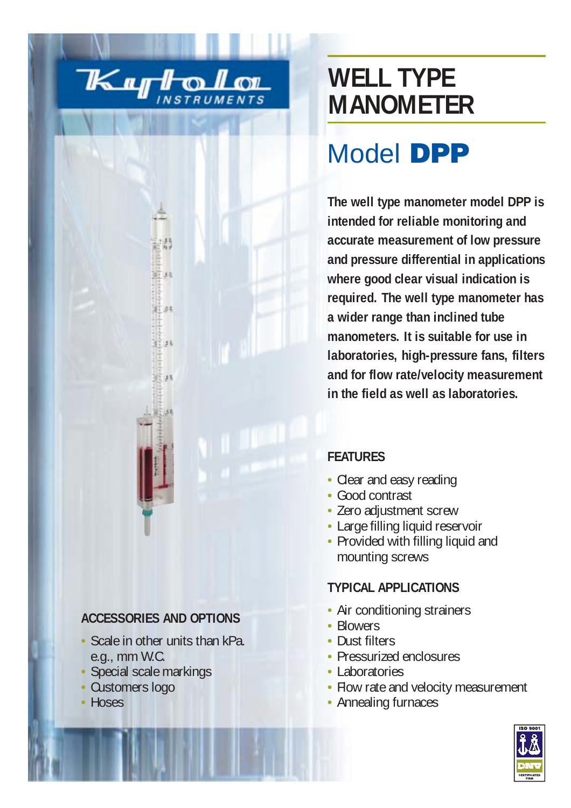

ii 93

 $11.34$ 

 $111$ 

## **WELL TYPE MANOMETER**

# Model **DPP**

**The well type manometer model DPP is intended for reliable monitoring and accurate measurement of low pressure and pressure differential in applications where good clear visual indication is required. The well type manometer has a wider range than inclined tube manometers. It is suitable for use in laboratories, high-pressure fans, filters and for flow rate/velocity measurement in the field as well as laboratories.**

#### **FEATURES**

- Clear and easy reading
- Good contrast
- Zero adjustment screw
- Large filling liquid reservoir
- Provided with filling liquid and mounting screws

### **TYPICAL APPLICATIONS**

- Air conditioning strainers
- Blowers
- Dust filters
- Pressurized enclosures
- Laboratories
- Flow rate and velocity measurement
- Annealing furnaces



## **ACCESSORIES AND OPTIONS**

- Scale in other units than kPa. e.g., mm W.C.
- Special scale markings
- Customers logo
- Hoses